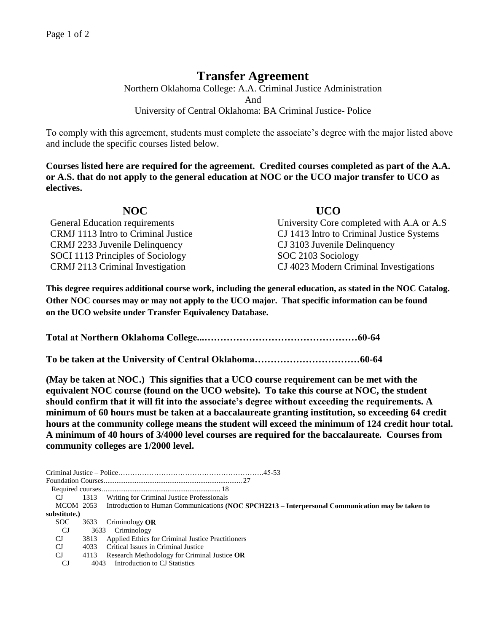## **Transfer Agreement**

Northern Oklahoma College: A.A. Criminal Justice Administration And University of Central Oklahoma: BA Criminal Justice- Police

To comply with this agreement, students must complete the associate's degree with the major listed above and include the specific courses listed below.

**Courses listed here are required for the agreement. Credited courses completed as part of the A.A. or A.S. that do not apply to the general education at NOC or the UCO major transfer to UCO as electives.**

| NOC                                 | <b>UCO</b>                                |
|-------------------------------------|-------------------------------------------|
| General Education requirements      | University Core completed with A.A or A.S |
| CRMJ 1113 Intro to Criminal Justice | CJ 1413 Intro to Criminal Justice Systems |
| CRMJ 2233 Juvenile Delinquency      | CJ 3103 Juvenile Delinquency              |
| SOCI 1113 Principles of Sociology   | SOC 2103 Sociology                        |
| CRMJ 2113 Criminal Investigation    | CJ 4023 Modern Criminal Investigations    |

**This degree requires additional course work, including the general education, as stated in the NOC Catalog. Other NOC courses may or may not apply to the UCO major. That specific information can be found on the UCO website under Transfer Equivalency Database.**

**Total at Northern Oklahoma College...…………………………………………60-64**

**To be taken at the University of Central Oklahoma……………………………60-64**

**(May be taken at NOC.) This signifies that a UCO course requirement can be met with the equivalent NOC course (found on the UCO website). To take this course at NOC, the student should confirm that it will fit into the associate's degree without exceeding the requirements. A minimum of 60 hours must be taken at a baccalaureate granting institution, so exceeding 64 credit hours at the community college means the student will exceed the minimum of 124 credit hour total. A minimum of 40 hours of 3/4000 level courses are required for the baccalaureate. Courses from community colleges are 1/2000 level.**

| CJ.          |      | 1313 Writing for Criminal Justice Professionals                                                            |
|--------------|------|------------------------------------------------------------------------------------------------------------|
|              |      | MCOM 2053 Introduction to Human Communications (NOC SPCH2213 – Interpersonal Communication may be taken to |
| substitute.) |      |                                                                                                            |
| SOC.         |      | 3633 Criminology OR                                                                                        |
| CJ.          |      | 3633 Criminology                                                                                           |
| CJ.          | 3813 | Applied Ethics for Criminal Justice Practitioners                                                          |
| CJ.          | 4033 | Critical Issues in Criminal Justice                                                                        |
| $C_{\rm J}$  | 4113 | Research Methodology for Criminal Justice OR                                                               |
| CJ           |      | 4043 Introduction to CJ Statistics                                                                         |